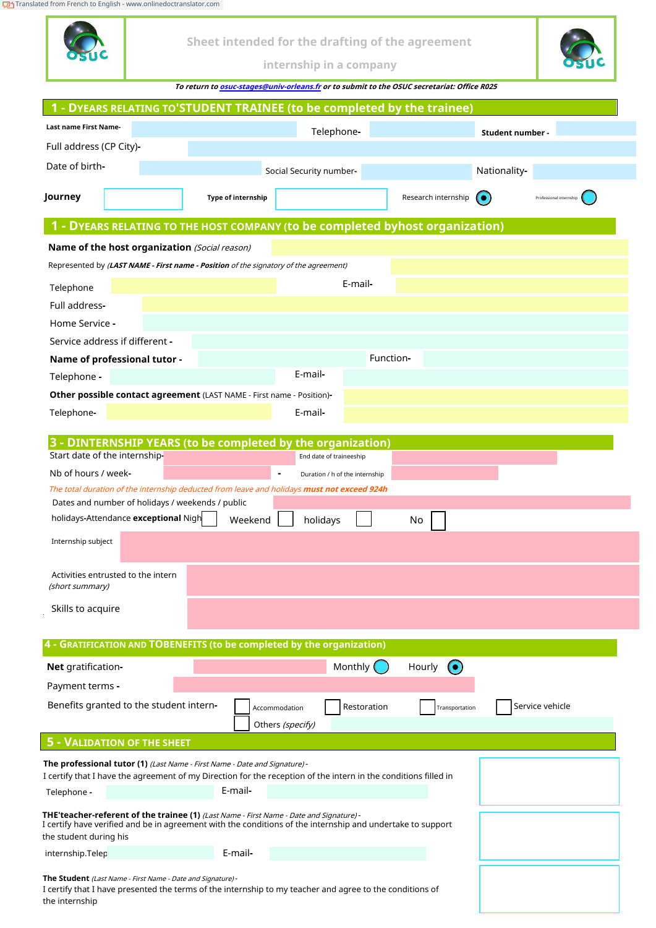[Translated from French to English - www.onlinedoctranslator.com](https://www.onlinedoctranslator.com/en/?utm_source=onlinedoctranslator&utm_medium=pdf&utm_campaign=attribution)

| ca moni menento English - www.onlineabed ansiator.com                                                                                                                                                        |                    |                                                                                            |                     |                  |                         |
|--------------------------------------------------------------------------------------------------------------------------------------------------------------------------------------------------------------|--------------------|--------------------------------------------------------------------------------------------|---------------------|------------------|-------------------------|
|                                                                                                                                                                                                              |                    | Sheet intended for the drafting of the agreement<br>internship in a company                |                     |                  |                         |
|                                                                                                                                                                                                              |                    | To return to osuc-stages@univ-orleans.fr or to submit to the OSUC secretariat: Office R025 |                     |                  |                         |
| 1 - DYEARS RELATING TO'STUDENT TRAINEE (to be completed by the trainee)                                                                                                                                      |                    |                                                                                            |                     |                  |                         |
| <b>Last name First Name-</b>                                                                                                                                                                                 |                    |                                                                                            |                     |                  |                         |
|                                                                                                                                                                                                              |                    | Telephone-                                                                                 |                     | Student number - |                         |
| Full address (CP City)-                                                                                                                                                                                      |                    |                                                                                            |                     |                  |                         |
| Date of birth-                                                                                                                                                                                               |                    | Social Security number-                                                                    |                     | Nationality-     |                         |
| Journey                                                                                                                                                                                                      | Type of internship |                                                                                            | Research internship |                  | Professional internship |
| 1 - DYEARS RELATING TO THE HOST COMPANY (to be completed byhost organization)                                                                                                                                |                    |                                                                                            |                     |                  |                         |
| Name of the host organization (Social reason)                                                                                                                                                                |                    |                                                                                            |                     |                  |                         |
| Represented by <i>(LAST NAME - First name - Position of the signatory of the agreement)</i>                                                                                                                  |                    |                                                                                            |                     |                  |                         |
| Telephone                                                                                                                                                                                                    |                    | E-mail-                                                                                    |                     |                  |                         |
| Full address-                                                                                                                                                                                                |                    |                                                                                            |                     |                  |                         |
| Home Service -                                                                                                                                                                                               |                    |                                                                                            |                     |                  |                         |
| Service address if different -                                                                                                                                                                               |                    |                                                                                            |                     |                  |                         |
| Name of professional tutor -                                                                                                                                                                                 |                    |                                                                                            | Function-           |                  |                         |
| Telephone -                                                                                                                                                                                                  |                    | E-mail-                                                                                    |                     |                  |                         |
| Other possible contact agreement (LAST NAME - First name - Position)-                                                                                                                                        |                    |                                                                                            |                     |                  |                         |
| Telephone-                                                                                                                                                                                                   |                    | E-mail-                                                                                    |                     |                  |                         |
| 3 - DINTERNSHIP YEARS (to be completed by the organization)                                                                                                                                                  |                    |                                                                                            |                     |                  |                         |
| Start date of the internship-                                                                                                                                                                                |                    | End date of traineeship                                                                    |                     |                  |                         |
| Nb of hours / week-                                                                                                                                                                                          |                    | Duration / h of the internship                                                             |                     |                  |                         |
| The total duration of the internship deducted from leave and holidays must not exceed 924h                                                                                                                   |                    |                                                                                            |                     |                  |                         |
| Dates and number of holidays / weekends / public<br>holidays-Attendance exceptional Nigh                                                                                                                     |                    |                                                                                            |                     |                  |                         |
|                                                                                                                                                                                                              | Weekend            | holidays                                                                                   | No                  |                  |                         |
| Internship subject                                                                                                                                                                                           |                    |                                                                                            |                     |                  |                         |
| Activities entrusted to the intern                                                                                                                                                                           |                    |                                                                                            |                     |                  |                         |
| (short summary)                                                                                                                                                                                              |                    |                                                                                            |                     |                  |                         |
| Skills to acquire                                                                                                                                                                                            |                    |                                                                                            |                     |                  |                         |
|                                                                                                                                                                                                              |                    |                                                                                            |                     |                  |                         |
| 4 - GRATIFICATION AND TOBENEFITS (to be completed by the organization)                                                                                                                                       |                    |                                                                                            |                     |                  |                         |
| <b>Net</b> gratification-                                                                                                                                                                                    |                    | Monthly (                                                                                  | Hourly<br>$\bullet$ |                  |                         |
| Payment terms -                                                                                                                                                                                              |                    |                                                                                            |                     |                  |                         |
| Benefits granted to the student intern-                                                                                                                                                                      |                    | Restoration<br>Accommodation                                                               | Transportation      |                  | Service vehicle         |
|                                                                                                                                                                                                              |                    | Others (specify)                                                                           |                     |                  |                         |
| 5 - VALIDATION OF THE SHEET                                                                                                                                                                                  |                    |                                                                                            |                     |                  |                         |
| The professional tutor (1) (Last Name - First Name - Date and Signature) -<br>I certify that I have the agreement of my Direction for the reception of the intern in the conditions filled in                |                    |                                                                                            |                     |                  |                         |
| Telephone -                                                                                                                                                                                                  | E-mail-            |                                                                                            |                     |                  |                         |
| <b>THE'teacher-referent of the trainee (1)</b> (Last Name - First Name - Date and Signature) -<br>I certify have verified and be in agreement with the conditions of the internship and undertake to support |                    |                                                                                            |                     |                  |                         |
| the student during his                                                                                                                                                                                       | E-mail-            |                                                                                            |                     |                  |                         |
| internship.Telep                                                                                                                                                                                             |                    |                                                                                            |                     |                  |                         |

**The Student** (Last Name - First Name - Date and Signature) -

I certify that I have presented the terms of the internship to my teacher and agree to the conditions of the internship